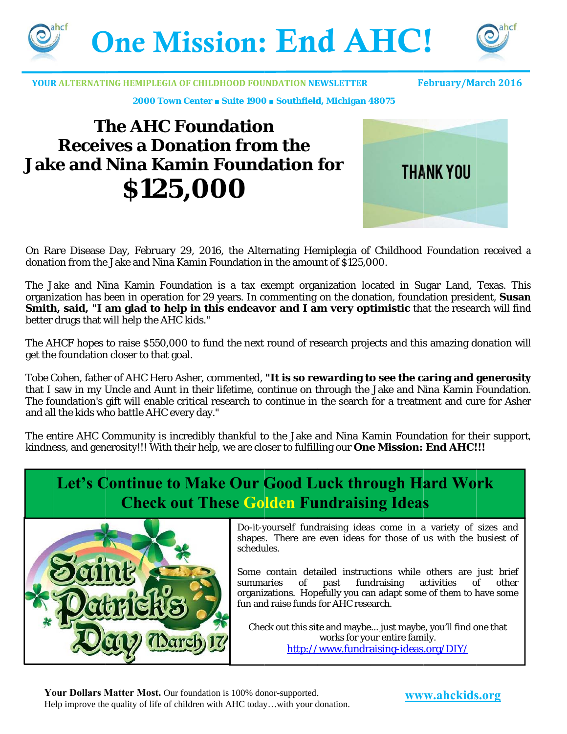



**YOUR ALTERNATING HEMIPLEGIA OF CHILDHOOD FOUNDATION NEWSLETTER** 

**February/March 2016** 

2000 Town Center . Suite 1900 . Southfield, Michigan 48075

# **The AHC Foundation Receives a Donation from the Jake and Nina Kamin Foundation for** \$125,000



On Rare Disease Day, February 29, 2016, the Alternating Hemiplegia of Childhood Foundation received a donation from the Jake and Nina Kamin Foundation in the amount of \$125,000.

The Jake and Nina Kamin Foundation is a tax exempt organization located in Sugar Land, Texas. This organization has been in operation for 29 years. In commenting on the donation, foundation president, Susan Smith, said, "I am glad to help in this endeavor and I am very optimistic that the research will find better drugs that will help the AHC kids."

The AHCF hopes to raise \$550,000 to fund the next round of research projects and this amazing donation will get the foundation closer to that goal.

Tobe Cohen, father of AHC Hero Asher, commented, "It is so rewarding to see the caring and generosity that I saw in my Uncle and Aunt in their lifetime, continue on through the Jake and Nina Kamin Foundation. The foundation's gift will enable critical research to continue in the search for a treatment and cure for Asher and all the kids who battle AHC every day."

The entire AHC Community is incredibly thankful to the Jake and Nina Kamin Foundation for their support, kindness, and generosity!!! With their help, we are closer to fulfilling our **One Mission: End AHC!!!** 

## Let's Continue to Make Our Good Luck through Hard Work **Check out These Golden Fundraising Ideas**



Do-it-yourself fundraising ideas come in a variety of sizes and shapes. There are even ideas for those of us with the busiest of schedules.

Some contain detailed instructions while others are just brief of past fundraising activities summaries of other organizations. Hopefully you can adapt some of them to have some fun and raise funds for AHC research.

Check out this site and maybe... just maybe, you'll find one that works for your entire family. http://www.fundraising-ideas.org/DIY/

Your Dollars Matter Most. Our foundation is 100% donor-supported. Help improve the quality of life of children with AHC today...with your donation.

www.ahckids.org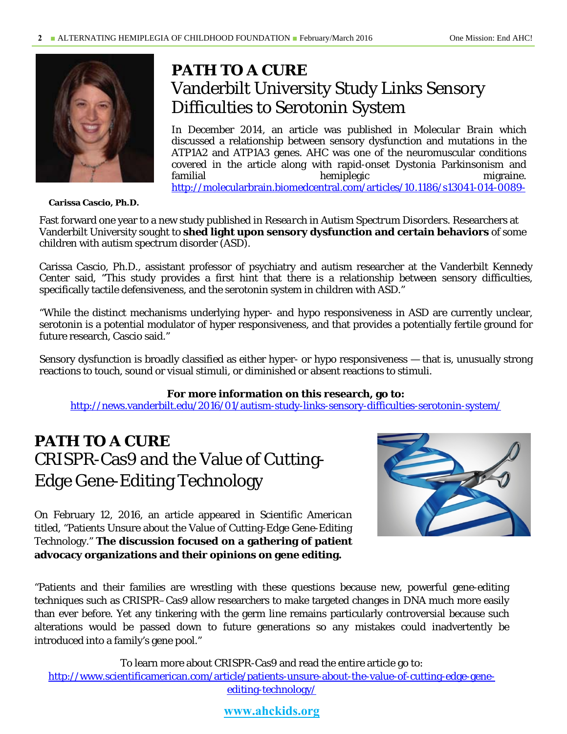

*PATH TO A CURE* Vanderbilt University Study Links Sensory Difficulties to Serotonin System

In December 2014, an article was published in *Molecular Brain* which discussed a relationship between sensory dysfunction and mutations in the ATP1A2 and ATP1A3 genes. AHC was one of the neuromuscular conditions covered in the article along with rapid-onset Dystonia Parkinsonism and familial hemiplegic migraine. http://molecularbrain.biomedcentral.com/articles/10.1186/s13041-014-0089-

**Carissa Cascio, Ph.D.** 

Fast forward one year to a new study published in *Research in Autism Spectrum Disorders.* Researchers at Vanderbilt University sought to **shed light upon sensory dysfunction and certain behaviors** of some children with autism spectrum disorder (ASD).

Carissa Cascio, Ph.D., assistant professor of psychiatry and autism researcher at the Vanderbilt Kennedy Center said, "This study provides a first hint that there is a relationship between sensory difficulties, specifically tactile defensiveness, and the serotonin system in children with ASD."

"While the distinct mechanisms underlying hyper- and hypo responsiveness in ASD are currently unclear, serotonin is a potential modulator of hyper responsiveness, and that provides a potentially fertile ground for future research, Cascio said."

Sensory dysfunction is broadly classified as either hyper- or hypo responsiveness — that is, unusually strong reactions to touch, sound or visual stimuli, or diminished or absent reactions to stimuli.

#### **For more information on this research, go to:**

http://news.vanderbilt.edu/2016/01/autism-study-links-sensory-difficulties-serotonin-system/

## *PATH TO A CURE* CRISPR-Cas9 and the Value of Cutting-Edge Gene-Editing Technology

On February 12, 2016, an article appeared in *Scientific American* titled, "Patients Unsure about the Value of Cutting-Edge Gene-Editing Technology." **The discussion focused on a gathering of patient advocacy organizations and their opinions on gene editing.**



"Patients and their families are wrestling with these questions because new, powerful gene-editing techniques such as CRISPR–Cas9 allow researchers to make targeted changes in DNA much more easily than ever before. Yet any tinkering with the germ line remains particularly controversial because such alterations would be passed down to future generations so any mistakes could inadvertently be introduced into a family's gene pool."

To learn more about CRISPR-Cas9 and read the entire article go to: http://www.scientificamerican.com/article/patients-unsure-about-the-value-of-cutting-edge-geneediting-technology/

#### **www.ahckids.org**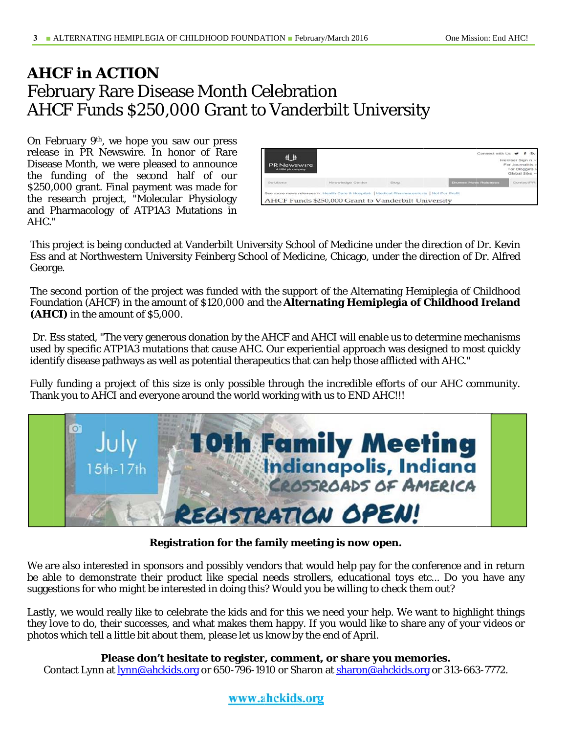### **AHCF** in **ACTION February Rare Disease Month Celebration AHCF Funds \$250,000 Grant to Vanderbilt University**

On February 9<sup>th</sup>, we hope you saw our press release in PR Newswire. In honor of Rare Disease Month, we were pleased to announce the funding of the second half of our \$250,000 grant. Final payment was made for the research project, "Molecular Physiology and Pharmacology of ATP1A3 Mutations in AHC."

| 4日<br><b>PR</b> Newswire<br>A UBM plc company |                                                                                                                                                     |       | Connect with Us V           | Member Sign in ~<br>For Journalists ><br>For Bloggers ><br>Global Sites v |  |
|-----------------------------------------------|-----------------------------------------------------------------------------------------------------------------------------------------------------|-------|-----------------------------|---------------------------------------------------------------------------|--|
| Solutions                                     | Knowledge Center                                                                                                                                    | Blog. | <b>Browse News Releases</b> | <b>ContactPR</b>                                                          |  |
|                                               | See more news releases in Health Care & Hospitals   Medical Pharmaceuticals   Not For Profit<br>AHCF Funds \$250,000 Grant to Vanderbilt University |       |                             |                                                                           |  |

This project is being conducted at Vanderbilt University School of Medicine under the direction of Dr. Kevin Ess and at Northwestern University Feinberg School of Medicine, Chicago, under the direction of Dr. Alfred George.

The second portion of the project was funded with the support of the Alternating Hemiplegia of Childhood Foundation (AHCF) in the amount of \$120,000 and the **Alternating Hemiplegia of Childhood Ireland** (AHCI) in the amount of \$5,000.

Dr. Ess stated, "The very generous donation by the AHCF and AHCI will enable us to determine mechanisms used by specific ATP1A3 mutations that cause AHC. Our experiential approach was designed to most quickly identify disease pathways as well as potential therapeutics that can help those afflicted with AHC."

Fully funding a project of this size is only possible through the incredible efforts of our AHC community. Thank you to AHCI and everyone around the world working with us to END AHC !!!



Registration for the family meeting is now open.

We are also interested in sponsors and possibly vendors that would help pay for the conference and in return be able to demonstrate their product like special needs strollers, educational toys etc... Do you have any suggestions for who might be interested in doing this? Would you be willing to check them out?

Lastly, we would really like to celebrate the kids and for this we need your help. We want to highlight things they love to do, their successes, and what makes them happy. If you would like to share any of your videos or photos which tell a little bit about them, please let us know by the end of April.

#### Please don't hesitate to register, comment, or share you memories.

Contact Lynn at <u>lynn@ahckids.org</u> or 650-796-1910 or Sharon at sharon@ahckids.org or 313-663-7772.

#### www.ahckids.org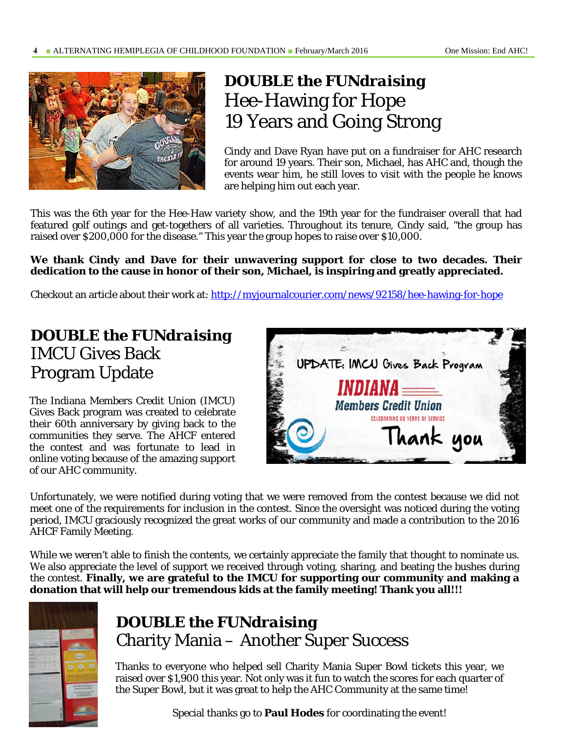

## *DOUBLE the FUNdraising*  Hee-Hawing for Hope 19 Years and Going Strong

Cindy and Dave Ryan have put on a fundraiser for AHC research for around 19 years. Their son, Michael, has AHC and, though the events wear him, he still loves to visit with the people he knows are helping him out each year.

This was the 6th year for the Hee-Haw variety show, and the 19th year for the fundraiser overall that had featured golf outings and get-togethers of all varieties. Throughout its tenure, Cindy said, "the group has raised over \$200,000 for the disease." This year the group hopes to raise over \$10,000.

#### **We thank Cindy and Dave for their unwavering support for close to two decades. Their dedication to the cause in honor of their son, Michael, is inspiring and greatly appreciated.**

Checkout an article about their work at: http://myjournalcourier.com/news/92158/hee-hawing-for-hope

## *DOUBLE the FUNdraising* IMCU Gives Back Program Update

The Indiana Members Credit Union (IMCU) Gives Back program was created to celebrate their 60th anniversary by giving back to the communities they serve. The AHCF entered the contest and was fortunate to lead in online voting because of the amazing support of our AHC community.



Unfortunately, we were notified during voting that we were removed from the contest because we did not meet one of the requirements for inclusion in the contest. Since the oversight was noticed during the voting period, IMCU graciously recognized the great works of our community and made a contribution to the 2016 AHCF Family Meeting.

While we weren't able to finish the contents, we certainly appreciate the family that thought to nominate us. We also appreciate the level of support we received through voting, sharing, and beating the bushes during the contest. **Finally, we are grateful to the IMCU for supporting our community and making a donation that will help our tremendous kids at the family meeting! Thank you all!!!** 



## *DOUBLE the FUNdraising* Charity Mania – Another Super Success

Thanks to everyone who helped sell Charity Mania Super Bowl tickets this year, we raised over \$1,900 this year. Not only was it fun to watch the scores for each quarter of the Super Bowl, but it was great to help the AHC Community at the same time!

Special thanks go to **Paul Hodes** for coordinating the event!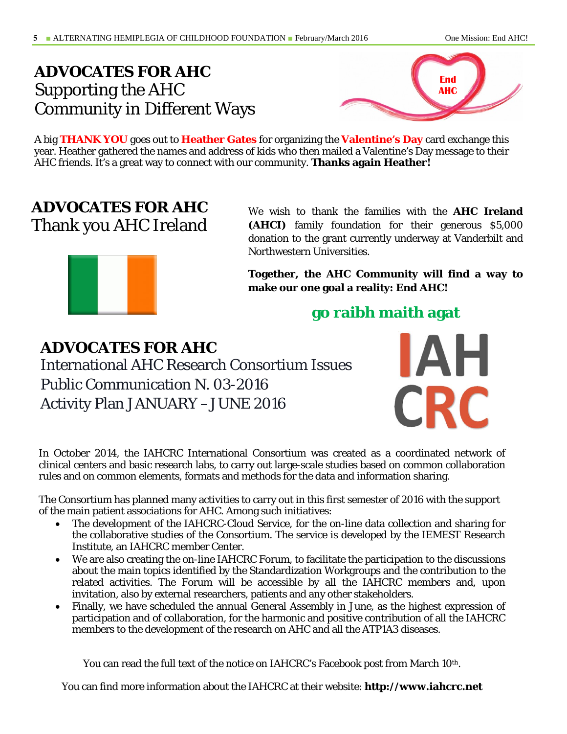## *ADVOCATES FOR AHC*  Supporting the AHC Community in Different Ways



A big **THANK YOU** goes out to **Heather Gates** for organizing the **Valentine's Day** card exchange this year. Heather gathered the names and address of kids who then mailed a Valentine's Day message to their AHC friends. It's a great way to connect with our community. **Thanks again Heather!** 

## *ADVOCATES FOR AHC*  Thank you AHC Ireland



We wish to thank the families with the **AHC Ireland (AHCI)** family foundation for their generous \$5,000 donation to the grant currently underway at Vanderbilt and Northwestern Universities.

**Together, the AHC Community will find a way to make our one goal a reality: End AHC!** 

## **go raibh maith agat**

*ADVOCATES FOR AHC*  International AHC Research Consortium Issues Public Communication N. 03-2016 Activity Plan JANUARY –JUNE 2016



In October 2014, the IAHCRC International Consortium was created as a coordinated network of clinical centers and basic research labs, to carry out large-scale studies based on common collaboration rules and on common elements, formats and methods for the data and information sharing.

The Consortium has planned many activities to carry out in this first semester of 2016 with the support of the main patient associations for AHC. Among such initiatives:

- The development of the IAHCRC-Cloud Service, for the on-line data collection and sharing for the collaborative studies of the Consortium. The service is developed by the IEMEST Research Institute, an IAHCRC member Center.
- We are also creating the on-line IAHCRC Forum, to facilitate the participation to the discussions about the main topics identified by the Standardization Workgroups and the contribution to the related activities. The Forum will be accessible by all the IAHCRC members and, upon invitation, also by external researchers, patients and any other stakeholders.
- Finally, we have scheduled the annual General Assembly in June, as the highest expression of participation and of collaboration, for the harmonic and positive contribution of all the IAHCRC members to the development of the research on AHC and all the ATP1A3 diseases.

You can read the full text of the notice on IAHCRC's Facebook post from March 10<sup>th</sup>.

You can find more information about the IAHCRC at their website: **http://www.iahcrc.net**